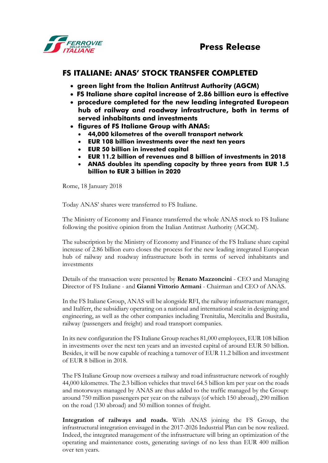## **FS ITALIANE: ANAS' STOCK TRANSFER COMPLETED**

- **green light from the Italian Antitrust Authority (AGCM)**
- **FS Italiane share capital increase of 2.86 billion euro is effective**
- **procedure completed for the new leading integrated European hub of railway and roadway infrastructure, both in terms of served inhabitants and investments**
- **figures of FS Italiane Group with ANAS:**
	- **44,000 kilometres of the overall transport network**
	- **EUR 108 billion investments over the next ten years**
	- **EUR 50 billion in invested capital**
	- **EUR 11.2 billion of revenues and 8 billion of investments in 2018**
	- **ANAS doubles its spending capacity by three years from EUR 1.5 billion to EUR 3 billion in 2020**

Rome, 18 January 2018

Today ANAS' shares were transferred to FS Italiane.

The Ministry of Economy and Finance transferred the whole ANAS stock to FS Italiane following the positive opinion from the Italian Antitrust Authority (AGCM).

The subscription by the Ministry of Economy and Finance of the FS Italiane share capital increase of 2.86 billion euro closes the process for the new leading integrated European hub of railway and roadway infrastructure both in terms of served inhabitants and investments

Details of the transaction were presented by **Renato Mazzoncini** - CEO and Managing Director of FS Italiane - and **Gianni Vittorio Armani** - Chairman and CEO of ANAS.

In the FS Italiane Group, ANAS will be alongside RFI, the railway infrastructure manager, and Italferr, the subsidiary operating on a national and international scale in designing and engineering, as well as the other companies including Trenitalia, Mercitalia and Busitalia, railway (passengers and freight) and road transport companies.

In its new configuration the FS Italiane Group reaches 81,000 employees, EUR 108 billion in investments over the next ten years and an invested capital of around EUR 50 billion. Besides, it will be now capable of reaching a turnover of EUR 11.2 billion and investment of EUR 8 billion in 2018.

The FS Italiane Group now oversees a railway and road infrastructure network of roughly 44,000 kilometres. The 2.3 billion vehicles that travel 64.5 billion km per year on the roads and motorways managed by ANAS are thus added to the traffic managed by the Group: around 750 million passengers per year on the railways (of which 150 abroad), 290 million on the road (130 abroad) and 50 million tonnes of freight.

**Integration of railways and roads.** With ANAS joining the FS Group, the infrastructural integration envisaged in the 2017-2026 Industrial Plan can be now realized. Indeed, the integrated management of the infrastructure will bring an optimization of the operating and maintenance costs, generating savings of no less than EUR 400 million over ten years.